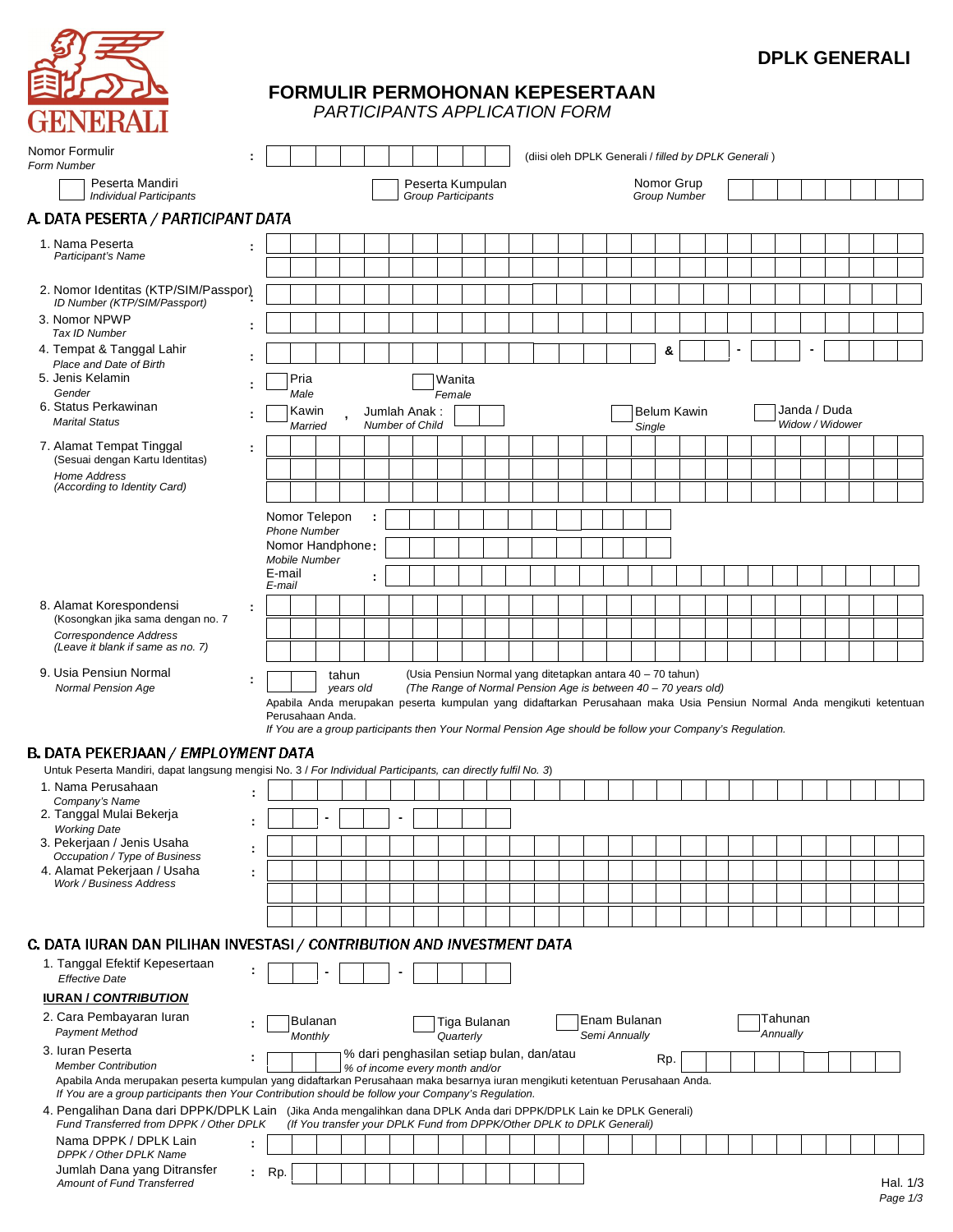

# **DPLK GENERALI**

# **FORMULIR PERMOHONAN KEPESERTAAN**

*PARTICIPANTS APPLICATION FORM*

| Nomor Formulir<br>Form Number                                                                                                                                                                                                      |    |                                      |                      |                           |                    |                                                                                                                       |                                        |                                                                                                                              |              |  |  |                               |        |     | (diisi oleh DPLK Generali / filled by DPLK Generali) |  |                     |                                 |  |  |
|------------------------------------------------------------------------------------------------------------------------------------------------------------------------------------------------------------------------------------|----|--------------------------------------|----------------------|---------------------------|--------------------|-----------------------------------------------------------------------------------------------------------------------|----------------------------------------|------------------------------------------------------------------------------------------------------------------------------|--------------|--|--|-------------------------------|--------|-----|------------------------------------------------------|--|---------------------|---------------------------------|--|--|
| Peserta Mandiri<br><b>Individual Participants</b>                                                                                                                                                                                  |    |                                      |                      |                           |                    |                                                                                                                       |                                        | Peserta Kumpulan<br>Group Participants                                                                                       |              |  |  |                               |        |     | Nomor Grup<br><b>Group Number</b>                    |  |                     |                                 |  |  |
| A. DATA PESERTA / PARTICIPANT DATA                                                                                                                                                                                                 |    |                                      |                      |                           |                    |                                                                                                                       |                                        |                                                                                                                              |              |  |  |                               |        |     |                                                      |  |                     |                                 |  |  |
| 1. Nama Peserta<br>Participant's Name                                                                                                                                                                                              |    |                                      |                      |                           |                    |                                                                                                                       |                                        |                                                                                                                              |              |  |  |                               |        |     |                                                      |  |                     |                                 |  |  |
| 2. Nomor Identitas (KTP/SIM/Passpor)<br>ID Number (KTP/SIM/Passport)                                                                                                                                                               |    |                                      |                      |                           |                    |                                                                                                                       |                                        |                                                                                                                              |              |  |  |                               |        |     |                                                      |  |                     |                                 |  |  |
| 3. Nomor NPWP<br>Tax ID Number                                                                                                                                                                                                     |    |                                      |                      |                           |                    |                                                                                                                       |                                        |                                                                                                                              |              |  |  |                               |        |     |                                                      |  |                     |                                 |  |  |
| 4. Tempat & Tanggal Lahir<br>Place and Date of Birth                                                                                                                                                                               |    |                                      |                      |                           |                    |                                                                                                                       |                                        |                                                                                                                              |              |  |  |                               |        | &   |                                                      |  |                     |                                 |  |  |
| 5. Jenis Kelamin<br>Gender                                                                                                                                                                                                         |    |                                      | Pria<br>Male         |                           |                    |                                                                                                                       |                                        | Wanita<br>Female                                                                                                             |              |  |  |                               |        |     |                                                      |  |                     |                                 |  |  |
| 6. Status Perkawinan<br><b>Marital Status</b>                                                                                                                                                                                      |    |                                      | Kawin<br>Married     |                           |                    |                                                                                                                       | Jumlah Anak:<br><b>Number of Child</b> |                                                                                                                              |              |  |  |                               | Single |     | Belum Kawin                                          |  |                     | Janda / Duda<br>Widow / Widower |  |  |
| 7. Alamat Tempat Tinggal<br>(Sesuai dengan Kartu Identitas)                                                                                                                                                                        |    |                                      |                      |                           |                    |                                                                                                                       |                                        |                                                                                                                              |              |  |  |                               |        |     |                                                      |  |                     |                                 |  |  |
| Home Address<br>(According to Identity Card)                                                                                                                                                                                       |    |                                      |                      |                           |                    |                                                                                                                       |                                        |                                                                                                                              |              |  |  |                               |        |     |                                                      |  |                     |                                 |  |  |
|                                                                                                                                                                                                                                    |    | Nomor Telepon<br><b>Phone Number</b> |                      |                           |                    |                                                                                                                       |                                        |                                                                                                                              |              |  |  |                               |        |     |                                                      |  |                     |                                 |  |  |
|                                                                                                                                                                                                                                    |    | Nomor Handphone:                     | <b>Mobile Number</b> |                           |                    |                                                                                                                       |                                        |                                                                                                                              |              |  |  |                               |        |     |                                                      |  |                     |                                 |  |  |
|                                                                                                                                                                                                                                    |    | E-mail<br>E-mail                     |                      |                           |                    |                                                                                                                       |                                        |                                                                                                                              |              |  |  |                               |        |     |                                                      |  |                     |                                 |  |  |
| 8. Alamat Korespondensi<br>(Kosongkan jika sama dengan no. 7                                                                                                                                                                       |    |                                      |                      |                           |                    |                                                                                                                       |                                        |                                                                                                                              |              |  |  |                               |        |     |                                                      |  |                     |                                 |  |  |
| Correspondence Address<br>(Leave it blank if same as no. 7)                                                                                                                                                                        |    |                                      |                      |                           |                    |                                                                                                                       |                                        |                                                                                                                              |              |  |  |                               |        |     |                                                      |  |                     |                                 |  |  |
|                                                                                                                                                                                                                                    |    |                                      |                      |                           |                    |                                                                                                                       |                                        |                                                                                                                              |              |  |  |                               |        |     |                                                      |  |                     |                                 |  |  |
| 9. Usia Pensiun Normal<br>Normal Pension Age                                                                                                                                                                                       |    |                                      |                      |                           | tahun<br>years old |                                                                                                                       |                                        | (Usia Pensiun Normal yang ditetapkan antara 40 - 70 tahun)<br>(The Range of Normal Pension Age is between 40 - 70 years old) |              |  |  |                               |        |     |                                                      |  |                     |                                 |  |  |
|                                                                                                                                                                                                                                    |    |                                      | Perusahaan Anda.     |                           |                    | Apabila Anda merupakan peserta kumpulan yang didaftarkan Perusahaan maka Usia Pensiun Normal Anda mengikuti ketentuan |                                        |                                                                                                                              |              |  |  |                               |        |     |                                                      |  |                     |                                 |  |  |
| <b>B. DATA PEKERJAAN / EMPLOYMENT DATA</b>                                                                                                                                                                                         |    |                                      |                      |                           |                    | If You are a group participants then Your Normal Pension Age should be follow your Company's Regulation.              |                                        |                                                                                                                              |              |  |  |                               |        |     |                                                      |  |                     |                                 |  |  |
| Untuk Peserta Mandiri, dapat langsung mengisi No. 3 / For Individual Participants, can directly fulfil No. 3)                                                                                                                      |    |                                      |                      |                           |                    |                                                                                                                       |                                        |                                                                                                                              |              |  |  |                               |        |     |                                                      |  |                     |                                 |  |  |
| 1. Nama Perusahaan<br>Company's Name                                                                                                                                                                                               |    |                                      |                      |                           |                    |                                                                                                                       |                                        |                                                                                                                              |              |  |  |                               |        |     |                                                      |  |                     |                                 |  |  |
| 2. Tanggal Mulai Bekerja<br><b>Working Date</b><br>3. Pekerjaan / Jenis Usaha                                                                                                                                                      |    |                                      |                      |                           |                    |                                                                                                                       |                                        |                                                                                                                              |              |  |  |                               |        |     |                                                      |  |                     |                                 |  |  |
| Occupation / Type of Business<br>4. Alamat Pekerjaan / Usaha                                                                                                                                                                       | t  |                                      |                      |                           |                    |                                                                                                                       |                                        |                                                                                                                              |              |  |  |                               |        |     |                                                      |  |                     |                                 |  |  |
| Work / Business Address                                                                                                                                                                                                            |    |                                      |                      |                           |                    |                                                                                                                       |                                        |                                                                                                                              |              |  |  |                               |        |     |                                                      |  |                     |                                 |  |  |
|                                                                                                                                                                                                                                    |    |                                      |                      |                           |                    |                                                                                                                       |                                        |                                                                                                                              |              |  |  |                               |        |     |                                                      |  |                     |                                 |  |  |
| C. DATA IURAN DAN PILIHAN INVESTASI / CONTRIBUTION AND INVESTMENT DATA                                                                                                                                                             |    |                                      |                      |                           |                    |                                                                                                                       |                                        |                                                                                                                              |              |  |  |                               |        |     |                                                      |  |                     |                                 |  |  |
| 1. Tanggal Efektif Kepesertaan<br><b>Effective Date</b>                                                                                                                                                                            |    |                                      |                      |                           |                    |                                                                                                                       |                                        |                                                                                                                              |              |  |  |                               |        |     |                                                      |  |                     |                                 |  |  |
| <b>IURAN / CONTRIBUTION</b>                                                                                                                                                                                                        |    |                                      |                      |                           |                    |                                                                                                                       |                                        |                                                                                                                              |              |  |  |                               |        |     |                                                      |  |                     |                                 |  |  |
| 2. Cara Pembayaran luran<br><b>Payment Method</b>                                                                                                                                                                                  |    |                                      |                      | <b>Bulanan</b><br>Monthly |                    |                                                                                                                       |                                        | Quarterly                                                                                                                    | Tiga Bulanan |  |  | Enam Bulanan<br>Semi Annually |        |     |                                                      |  | Tahunan<br>Annually |                                 |  |  |
| 3. Iuran Peserta<br><b>Member Contribution</b>                                                                                                                                                                                     |    |                                      |                      |                           |                    | % dari penghasilan setiap bulan, dan/atau<br>% of income every month and/or                                           |                                        |                                                                                                                              |              |  |  |                               |        | Rp. |                                                      |  |                     |                                 |  |  |
| Apabila Anda merupakan peserta kumpulan yang didaftarkan Perusahaan maka besarnya iuran mengikuti ketentuan Perusahaan Anda.<br>If You are a group participants then Your Contribution should be follow your Company's Regulation. |    |                                      |                      |                           |                    |                                                                                                                       |                                        |                                                                                                                              |              |  |  |                               |        |     |                                                      |  |                     |                                 |  |  |
| 4. Pengalihan Dana dari DPPK/DPLK Lain (Jika Anda mengalihkan dana DPLK Anda dari DPPK/DPLK Lain ke DPLK Generali)<br>Fund Transferred from DPPK / Other DPLK                                                                      |    |                                      |                      |                           |                    | (If You transfer your DPLK Fund from DPPK/Other DPLK to DPLK Generali)                                                |                                        |                                                                                                                              |              |  |  |                               |        |     |                                                      |  |                     |                                 |  |  |
| Nama DPPK / DPLK Lain<br>DPPK / Other DPLK Name<br>Jumlah Dana yang Ditransfer                                                                                                                                                     | ÷. | Rp.                                  |                      |                           |                    |                                                                                                                       |                                        |                                                                                                                              |              |  |  |                               |        |     |                                                      |  |                     |                                 |  |  |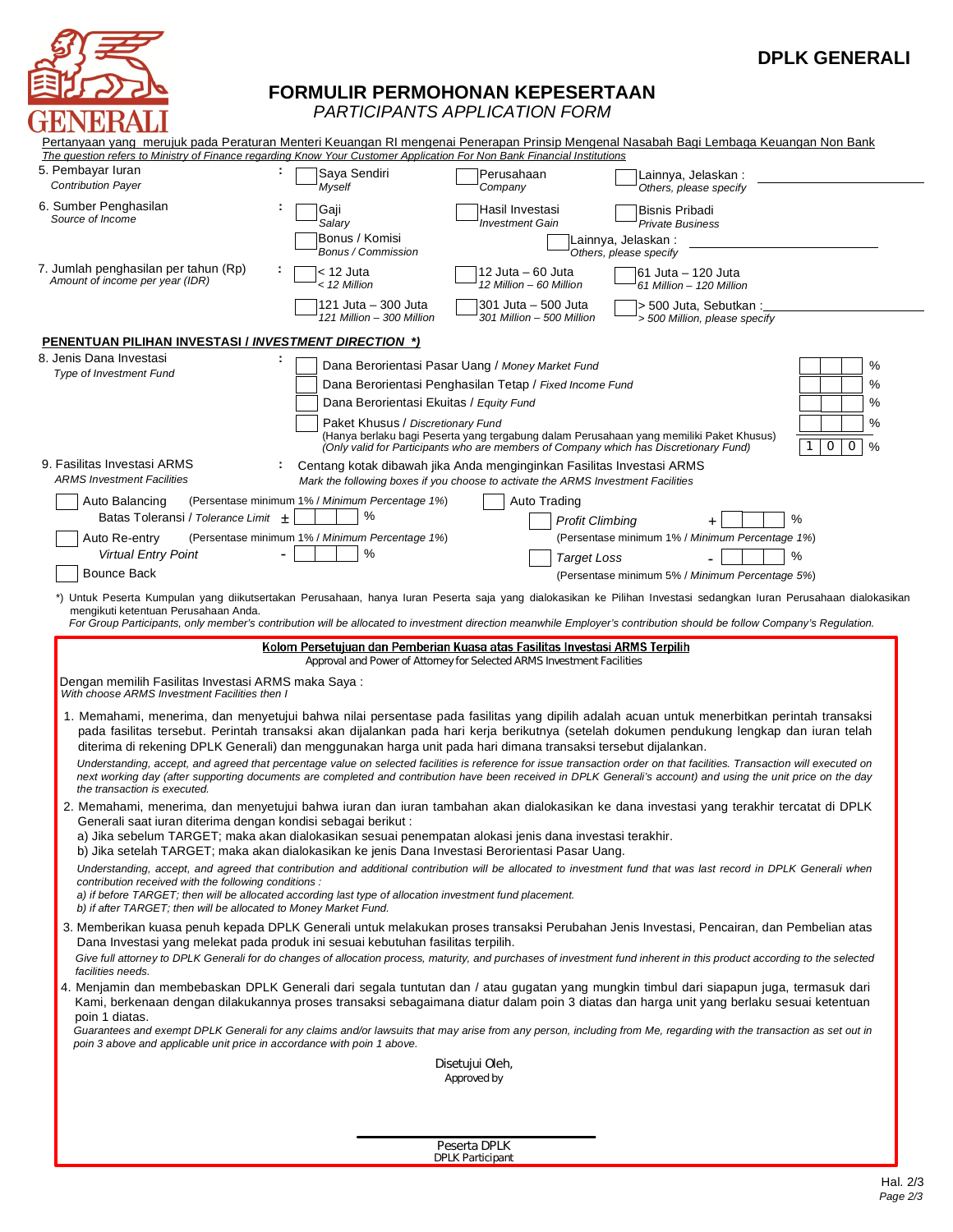

# **DPLK GENERALI**

## **FORMULIR PERMOHONAN KEPESERTAAN**

*PARTICIPANTS APPLICATION FORM*

| The question refers to Ministry of Finance regarding Know Your Customer Application For Non Bank Financial Institutions                                                      | Pertanyaan yang merujuk pada Peraturan Menteri Keuangan RI mengenai Penerapan Prinsip Mengenal Nasabah Bagi Lembaga Keuangan Non Bank |                                                                                                                                                            |                                                                                                                                                                                                                                                                                                                                                                                                                                                                     |
|------------------------------------------------------------------------------------------------------------------------------------------------------------------------------|---------------------------------------------------------------------------------------------------------------------------------------|------------------------------------------------------------------------------------------------------------------------------------------------------------|---------------------------------------------------------------------------------------------------------------------------------------------------------------------------------------------------------------------------------------------------------------------------------------------------------------------------------------------------------------------------------------------------------------------------------------------------------------------|
| 5. Pembayar luran<br><b>Contribution Payer</b>                                                                                                                               | Saya Sendiri<br>Myself                                                                                                                | Perusahaan<br>Company                                                                                                                                      | Lainnya, Jelaskan:<br>Others, please specify                                                                                                                                                                                                                                                                                                                                                                                                                        |
| 6. Sumber Penghasilan<br>Source of Income                                                                                                                                    | Gaji<br>Salary                                                                                                                        | Hasil Investasi<br><b>Investment Gain</b>                                                                                                                  | <b>Bisnis Pribadi</b><br><b>Private Business</b>                                                                                                                                                                                                                                                                                                                                                                                                                    |
|                                                                                                                                                                              | Bonus / Komisi<br>Bonus / Commission                                                                                                  |                                                                                                                                                            | Lainnya, Jelaskan :<br>Others, please specify                                                                                                                                                                                                                                                                                                                                                                                                                       |
| 7. Jumlah penghasilan per tahun (Rp)<br>Amount of income per year (IDR)                                                                                                      | < 12 Juta<br>< 12 Million                                                                                                             | 12 Juta – 60 Juta<br>12 Million - 60 Million                                                                                                               | 61 Juta – 120 Juta<br>61 Million - 120 Million                                                                                                                                                                                                                                                                                                                                                                                                                      |
|                                                                                                                                                                              | 121 Juta – 300 Juta<br>121 Million - 300 Million                                                                                      | 301 Juta - 500 Juta<br>301 Million - 500 Million                                                                                                           | > 500 Juta, Sebutkan:<br>> 500 Million, please specify                                                                                                                                                                                                                                                                                                                                                                                                              |
| <b>PENENTUAN PILIHAN INVESTASI / INVESTMENT DIRECTION *)</b>                                                                                                                 |                                                                                                                                       |                                                                                                                                                            |                                                                                                                                                                                                                                                                                                                                                                                                                                                                     |
| 8. Jenis Dana Investasi<br>Type of Investment Fund                                                                                                                           |                                                                                                                                       | Dana Berorientasi Pasar Uang / Money Market Fund                                                                                                           | %                                                                                                                                                                                                                                                                                                                                                                                                                                                                   |
|                                                                                                                                                                              |                                                                                                                                       | Dana Berorientasi Penghasilan Tetap / Fixed Income Fund                                                                                                    | %                                                                                                                                                                                                                                                                                                                                                                                                                                                                   |
|                                                                                                                                                                              |                                                                                                                                       | Dana Berorientasi Ekuitas / Equity Fund                                                                                                                    | %                                                                                                                                                                                                                                                                                                                                                                                                                                                                   |
|                                                                                                                                                                              | Paket Khusus / Discretionary Fund                                                                                                     | (Only valid for Participants who are members of Company which has Discretionary Fund)                                                                      | %<br>(Hanya berlaku bagi Peserta yang tergabung dalam Perusahaan yang memiliki Paket Khusus)<br>$\mathsf{O}$<br>0<br>$\frac{0}{0}$<br>1                                                                                                                                                                                                                                                                                                                             |
| 9. Fasilitas Investasi ARMS<br><b>ARMS Investment Facilities</b>                                                                                                             |                                                                                                                                       | Centang kotak dibawah jika Anda menginginkan Fasilitas Investasi ARMS<br>Mark the following boxes if you choose to activate the ARMS Investment Facilities |                                                                                                                                                                                                                                                                                                                                                                                                                                                                     |
| Auto Balancing                                                                                                                                                               | (Persentase minimum 1% / Minimum Percentage 1%)                                                                                       | Auto Trading                                                                                                                                               |                                                                                                                                                                                                                                                                                                                                                                                                                                                                     |
| Batas Toleransi / Tolerance Limit +                                                                                                                                          | %                                                                                                                                     |                                                                                                                                                            | %<br><b>Profit Climbing</b>                                                                                                                                                                                                                                                                                                                                                                                                                                         |
| Auto Re-entry                                                                                                                                                                | (Persentase minimum 1% / Minimum Percentage 1%)                                                                                       |                                                                                                                                                            | (Persentase minimum 1% / Minimum Percentage 1%)                                                                                                                                                                                                                                                                                                                                                                                                                     |
| <b>Virtual Entry Point</b>                                                                                                                                                   | $\%$                                                                                                                                  | <b>Target Loss</b>                                                                                                                                         | %                                                                                                                                                                                                                                                                                                                                                                                                                                                                   |
| <b>Bounce Back</b>                                                                                                                                                           |                                                                                                                                       |                                                                                                                                                            | (Persentase minimum 5% / Minimum Percentage 5%)                                                                                                                                                                                                                                                                                                                                                                                                                     |
| mengikuti ketentuan Perusahaan Anda.                                                                                                                                         |                                                                                                                                       |                                                                                                                                                            | *) Untuk Peserta Kumpulan yang diikutsertakan Perusahaan, hanya luran Peserta saja yang dialokasikan ke Pilihan Investasi sedangkan luran Perusahaan dialokasikan<br>For Group Participants, only member's contribution will be allocated to investment direction meanwhile Employer's contribution should be follow Company's Regulation.                                                                                                                          |
|                                                                                                                                                                              |                                                                                                                                       |                                                                                                                                                            |                                                                                                                                                                                                                                                                                                                                                                                                                                                                     |
|                                                                                                                                                                              |                                                                                                                                       |                                                                                                                                                            |                                                                                                                                                                                                                                                                                                                                                                                                                                                                     |
|                                                                                                                                                                              | Kolom Persetujuan dan Pemberian Kuasa atas Fasilitas Investasi ARMS Terpilih                                                          | Approval and Power of Attorney for Selected ARMS Investment Facilities                                                                                     |                                                                                                                                                                                                                                                                                                                                                                                                                                                                     |
| Dengan memilih Fasilitas Investasi ARMS maka Saya:<br>With choose ARMS Investment Facilities then I                                                                          |                                                                                                                                       |                                                                                                                                                            |                                                                                                                                                                                                                                                                                                                                                                                                                                                                     |
| diterima di rekening DPLK Generali) dan menggunakan harga unit pada hari dimana transaksi tersebut dijalankan.                                                               |                                                                                                                                       |                                                                                                                                                            | 1. Memahami, menerima, dan menyetujui bahwa nilai persentase pada fasilitas yang dipilih adalah acuan untuk menerbitkan perintah transaksi<br>pada fasilitas tersebut. Perintah transaksi akan dijalankan pada hari kerja berikutnya (setelah dokumen pendukung lengkap dan iuran telah<br>Understanding, accept, and agreed that percentage value on selected facilities is reference for issue transaction order on that facilities. Transaction will executed on |
| the transaction is executed.                                                                                                                                                 |                                                                                                                                       |                                                                                                                                                            | next working day (after supporting documents are completed and contribution have been received in DPLK Generali's account) and using the unit price on the day                                                                                                                                                                                                                                                                                                      |
| Generali saat iuran diterima dengan kondisi sebagai berikut:                                                                                                                 |                                                                                                                                       |                                                                                                                                                            | Memahami, menerima, dan menyetujui bahwa iuran dan iuran tambahan akan dialokasikan ke dana investasi yang terakhir tercatat di DPLK                                                                                                                                                                                                                                                                                                                                |
| a) Jika sebelum TARGET; maka akan dialokasikan sesuai penempatan alokasi jenis dana investasi terakhir.                                                                      |                                                                                                                                       |                                                                                                                                                            |                                                                                                                                                                                                                                                                                                                                                                                                                                                                     |
| b) Jika setelah TARGET; maka akan dialokasikan ke jenis Dana Investasi Berorientasi Pasar Uang.<br>contribution received with the following conditions :                     |                                                                                                                                       |                                                                                                                                                            | Understanding, accept, and agreed that contribution and additional contribution will be allocated to investment fund that was last record in DPLK Generali when                                                                                                                                                                                                                                                                                                     |
| a) if before TARGET; then will be allocated according last type of allocation investment fund placement.<br>b) if after TARGET; then will be allocated to Money Market Fund. |                                                                                                                                       |                                                                                                                                                            |                                                                                                                                                                                                                                                                                                                                                                                                                                                                     |
| Dana Investasi yang melekat pada produk ini sesuai kebutuhan fasilitas terpilih.                                                                                             |                                                                                                                                       |                                                                                                                                                            | 3. Memberikan kuasa penuh kepada DPLK Generali untuk melakukan proses transaksi Perubahan Jenis Investasi, Pencairan, dan Pembelian atas                                                                                                                                                                                                                                                                                                                            |
| facilities needs.                                                                                                                                                            |                                                                                                                                       |                                                                                                                                                            | Give full attorney to DPLK Generali for do changes of allocation process, maturity, and purchases of investment fund inherent in this product according to the selected<br>4. Menjamin dan membebaskan DPLK Generali dari segala tuntutan dan / atau gugatan yang mungkin timbul dari siapapun juga, termasuk dari                                                                                                                                                  |
| poin 1 diatas.                                                                                                                                                               |                                                                                                                                       |                                                                                                                                                            | Kami, berkenaan dengan dilakukannya proses transaksi sebagaimana diatur dalam poin 3 diatas dan harga unit yang berlaku sesuai ketentuan                                                                                                                                                                                                                                                                                                                            |
| poin 3 above and applicable unit price in accordance with poin 1 above.                                                                                                      |                                                                                                                                       |                                                                                                                                                            | Guarantees and exempt DPLK Generali for any claims and/or lawsuits that may arise from any person, including from Me, regarding with the transaction as set out in                                                                                                                                                                                                                                                                                                  |
|                                                                                                                                                                              |                                                                                                                                       | Disetujui Oleh,<br>Approved by                                                                                                                             |                                                                                                                                                                                                                                                                                                                                                                                                                                                                     |
|                                                                                                                                                                              |                                                                                                                                       |                                                                                                                                                            |                                                                                                                                                                                                                                                                                                                                                                                                                                                                     |
|                                                                                                                                                                              |                                                                                                                                       | Peserta DPLK                                                                                                                                               |                                                                                                                                                                                                                                                                                                                                                                                                                                                                     |